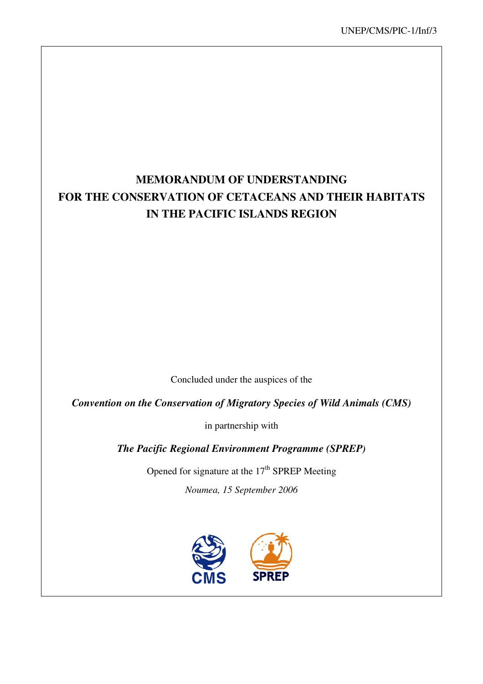## **MEMORANDUM OF UNDERSTANDING FOR THE CONSERVATION OF CETACEANS AND THEIR HABITATS IN THE PACIFIC ISLANDS REGION**

Concluded under the auspices of the

*Convention on the Conservation of Migratory Species of Wild Animals (CMS)* 

in partnership with

*The Pacific Regional Environment Programme (SPREP)*

Opened for signature at the  $17<sup>th</sup>$  SPREP Meeting

*Noumea, 15 September 2006* 

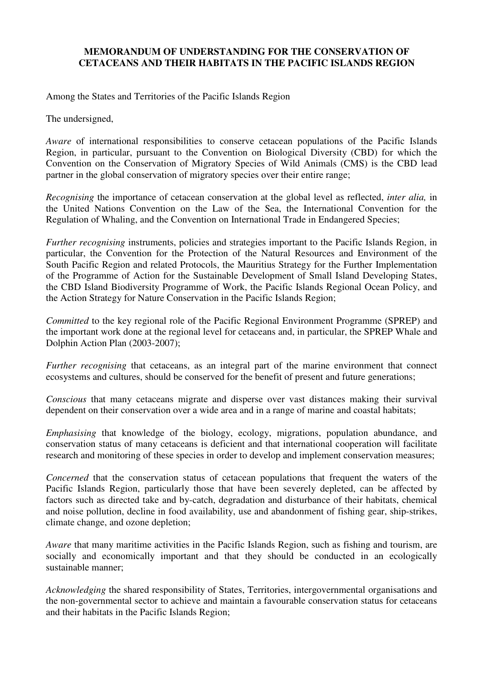#### **MEMORANDUM OF UNDERSTANDING FOR THE CONSERVATION OF CETACEANS AND THEIR HABITATS IN THE PACIFIC ISLANDS REGION**

Among the States and Territories of the Pacific Islands Region

The undersigned,

*Aware* of international responsibilities to conserve cetacean populations of the Pacific Islands Region, in particular, pursuant to the Convention on Biological Diversity (CBD) for which the Convention on the Conservation of Migratory Species of Wild Animals (CMS) is the CBD lead partner in the global conservation of migratory species over their entire range;

*Recognising* the importance of cetacean conservation at the global level as reflected, *inter alia,* in the United Nations Convention on the Law of the Sea, the International Convention for the Regulation of Whaling, and the Convention on International Trade in Endangered Species;

*Further recognising* instruments, policies and strategies important to the Pacific Islands Region, in particular, the Convention for the Protection of the Natural Resources and Environment of the South Pacific Region and related Protocols, the Mauritius Strategy for the Further Implementation of the Programme of Action for the Sustainable Development of Small Island Developing States, the CBD Island Biodiversity Programme of Work, the Pacific Islands Regional Ocean Policy, and the Action Strategy for Nature Conservation in the Pacific Islands Region;

*Committed* to the key regional role of the Pacific Regional Environment Programme (SPREP) and the important work done at the regional level for cetaceans and, in particular, the SPREP Whale and Dolphin Action Plan (2003-2007);

*Further recognising* that cetaceans, as an integral part of the marine environment that connect ecosystems and cultures, should be conserved for the benefit of present and future generations;

*Conscious* that many cetaceans migrate and disperse over vast distances making their survival dependent on their conservation over a wide area and in a range of marine and coastal habitats;

*Emphasising* that knowledge of the biology, ecology, migrations, population abundance, and conservation status of many cetaceans is deficient and that international cooperation will facilitate research and monitoring of these species in order to develop and implement conservation measures;

*Concerned* that the conservation status of cetacean populations that frequent the waters of the Pacific Islands Region, particularly those that have been severely depleted, can be affected by factors such as directed take and by-catch, degradation and disturbance of their habitats, chemical and noise pollution, decline in food availability, use and abandonment of fishing gear, ship-strikes, climate change, and ozone depletion;

*Aware* that many maritime activities in the Pacific Islands Region, such as fishing and tourism, are socially and economically important and that they should be conducted in an ecologically sustainable manner;

*Acknowledging* the shared responsibility of States, Territories, intergovernmental organisations and the non-governmental sector to achieve and maintain a favourable conservation status for cetaceans and their habitats in the Pacific Islands Region;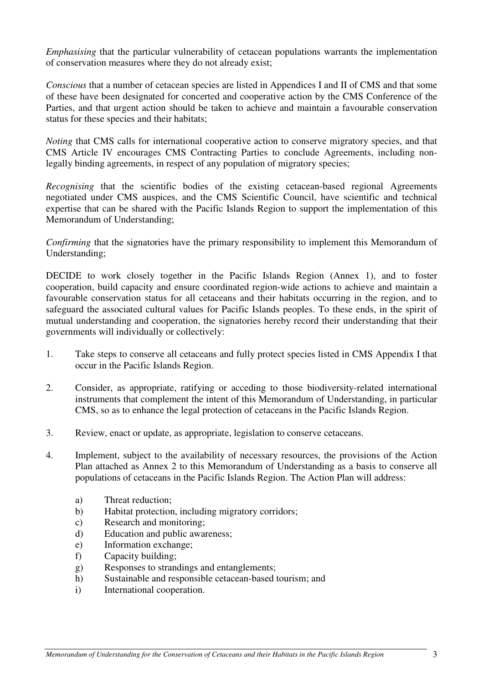*Emphasising* that the particular vulnerability of cetacean populations warrants the implementation of conservation measures where they do not already exist;

*Conscious* that a number of cetacean species are listed in Appendices I and II of CMS and that some of these have been designated for concerted and cooperative action by the CMS Conference of the Parties, and that urgent action should be taken to achieve and maintain a favourable conservation status for these species and their habitats;

*Noting* that CMS calls for international cooperative action to conserve migratory species, and that CMS Article IV encourages CMS Contracting Parties to conclude Agreements, including nonlegally binding agreements, in respect of any population of migratory species;

*Recognising* that the scientific bodies of the existing cetacean-based regional Agreements negotiated under CMS auspices, and the CMS Scientific Council, have scientific and technical expertise that can be shared with the Pacific Islands Region to support the implementation of this Memorandum of Understanding;

*Confirming* that the signatories have the primary responsibility to implement this Memorandum of Understanding;

DECIDE to work closely together in the Pacific Islands Region (Annex 1), and to foster cooperation, build capacity and ensure coordinated region-wide actions to achieve and maintain a favourable conservation status for all cetaceans and their habitats occurring in the region, and to safeguard the associated cultural values for Pacific Islands peoples. To these ends, in the spirit of mutual understanding and cooperation, the signatories hereby record their understanding that their governments will individually or collectively:

- 1. Take steps to conserve all cetaceans and fully protect species listed in CMS Appendix I that occur in the Pacific Islands Region.
- 2. Consider, as appropriate, ratifying or acceding to those biodiversity-related international instruments that complement the intent of this Memorandum of Understanding, in particular CMS, so as to enhance the legal protection of cetaceans in the Pacific Islands Region.
- 3. Review, enact or update, as appropriate, legislation to conserve cetaceans.
- 4. Implement, subject to the availability of necessary resources, the provisions of the Action Plan attached as Annex 2 to this Memorandum of Understanding as a basis to conserve all populations of cetaceans in the Pacific Islands Region. The Action Plan will address:
	- a) Threat reduction;
	- b) Habitat protection, including migratory corridors;
	- c) Research and monitoring;
	- d) Education and public awareness;
	- e) Information exchange;
	- f) Capacity building;
	- g) Responses to strandings and entanglements;
	- h) Sustainable and responsible cetacean-based tourism; and
	- i) International cooperation.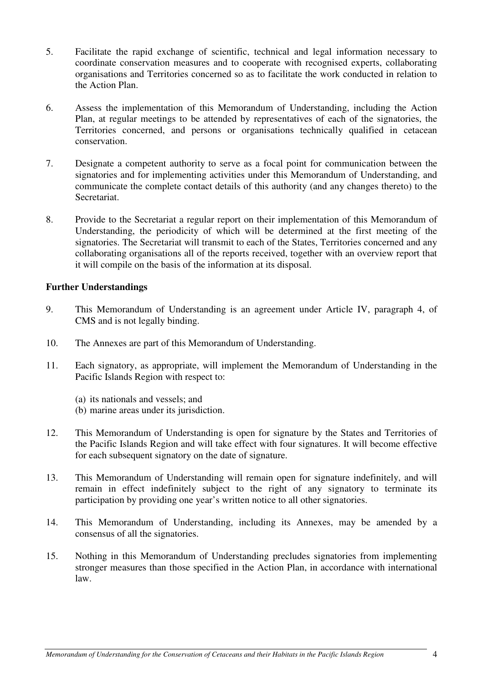- 5. Facilitate the rapid exchange of scientific, technical and legal information necessary to coordinate conservation measures and to cooperate with recognised experts, collaborating organisations and Territories concerned so as to facilitate the work conducted in relation to the Action Plan.
- 6. Assess the implementation of this Memorandum of Understanding, including the Action Plan, at regular meetings to be attended by representatives of each of the signatories, the Territories concerned, and persons or organisations technically qualified in cetacean conservation.
- 7. Designate a competent authority to serve as a focal point for communication between the signatories and for implementing activities under this Memorandum of Understanding, and communicate the complete contact details of this authority (and any changes thereto) to the Secretariat.
- 8. Provide to the Secretariat a regular report on their implementation of this Memorandum of Understanding, the periodicity of which will be determined at the first meeting of the signatories. The Secretariat will transmit to each of the States, Territories concerned and any collaborating organisations all of the reports received, together with an overview report that it will compile on the basis of the information at its disposal.

#### **Further Understandings**

- 9. This Memorandum of Understanding is an agreement under Article IV, paragraph 4, of CMS and is not legally binding.
- 10. The Annexes are part of this Memorandum of Understanding.
- 11. Each signatory, as appropriate, will implement the Memorandum of Understanding in the Pacific Islands Region with respect to:
	- (a) its nationals and vessels; and
	- (b) marine areas under its jurisdiction.
- 12. This Memorandum of Understanding is open for signature by the States and Territories of the Pacific Islands Region and will take effect with four signatures. It will become effective for each subsequent signatory on the date of signature.
- 13. This Memorandum of Understanding will remain open for signature indefinitely, and will remain in effect indefinitely subject to the right of any signatory to terminate its participation by providing one year's written notice to all other signatories.
- 14. This Memorandum of Understanding, including its Annexes, may be amended by a consensus of all the signatories.
- 15. Nothing in this Memorandum of Understanding precludes signatories from implementing stronger measures than those specified in the Action Plan, in accordance with international law.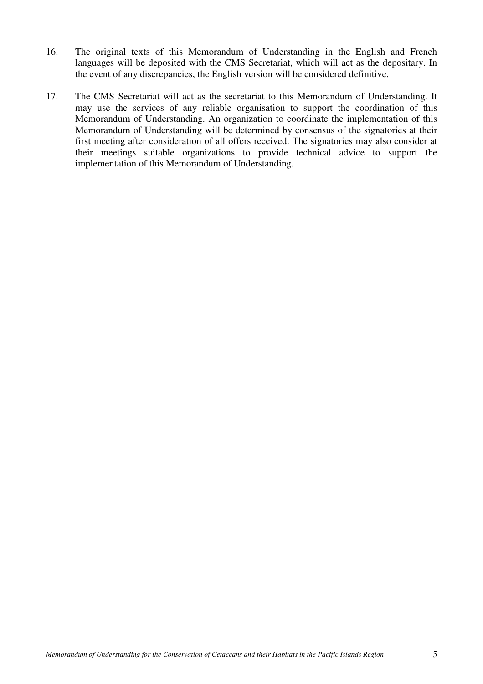- 16. The original texts of this Memorandum of Understanding in the English and French languages will be deposited with the CMS Secretariat, which will act as the depositary. In the event of any discrepancies, the English version will be considered definitive.
- 17. The CMS Secretariat will act as the secretariat to this Memorandum of Understanding. It may use the services of any reliable organisation to support the coordination of this Memorandum of Understanding. An organization to coordinate the implementation of this Memorandum of Understanding will be determined by consensus of the signatories at their first meeting after consideration of all offers received. The signatories may also consider at their meetings suitable organizations to provide technical advice to support the implementation of this Memorandum of Understanding.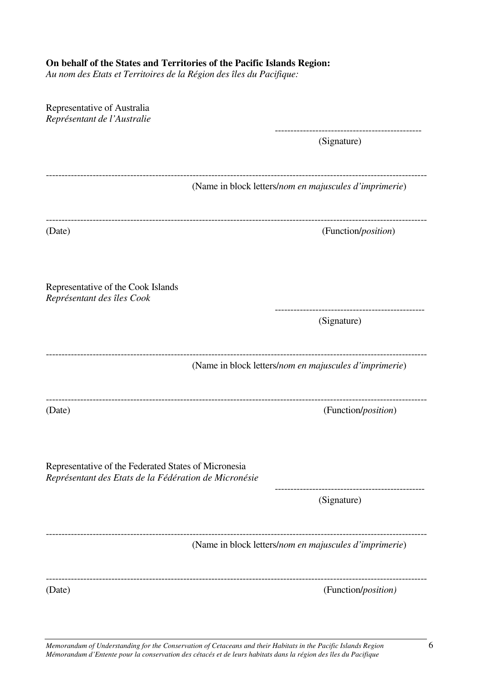#### **On behalf of the States and Territories of the Pacific Islands Region:**

*Au nom des Etats et Territoires de la Région des îles du Pacifique:* 

| Representative of Australia<br>Représentant de l'Australie                                                    |                                                        |
|---------------------------------------------------------------------------------------------------------------|--------------------------------------------------------|
|                                                                                                               | (Signature)                                            |
|                                                                                                               | (Name in block letters/nom en majuscules d'imprimerie) |
| (Date)                                                                                                        | (Function/ <i>position</i> )                           |
| Representative of the Cook Islands<br>Représentant des îles Cook                                              |                                                        |
|                                                                                                               | (Signature)                                            |
|                                                                                                               | (Name in block letters/nom en majuscules d'imprimerie) |
| (Date)                                                                                                        | (Function/position)                                    |
| Representative of the Federated States of Micronesia<br>Représentant des Etats de la Fédération de Micronésie |                                                        |
|                                                                                                               | (Signature)                                            |
|                                                                                                               | (Name in block letters/nom en majuscules d'imprimerie) |
| (Date)                                                                                                        | (Function/position)                                    |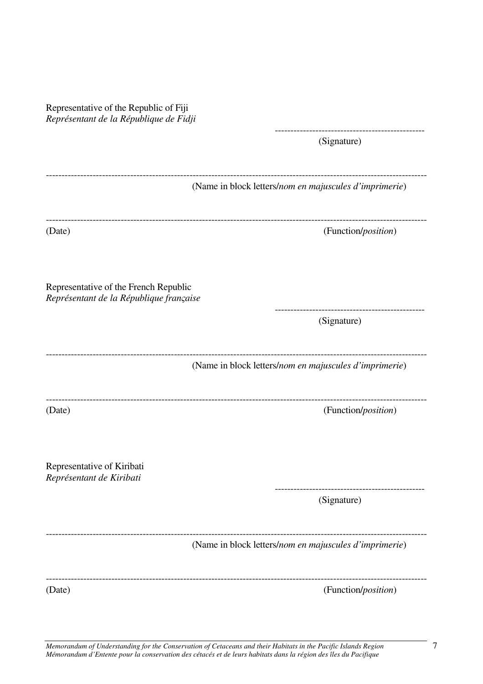Representative of the Republic of Fiji *Représentant de la République de Fidji* ------------------------------------------------ (Signature) -------------------------------------------------------------------------------------------------------------------------- (Name in block letters/*nom en majuscules d'imprimerie*) -------------------------------------------------------------------------------------------------------------------------- (Date) (Function/*position*) Representative of the French Republic *Représentant de la République fran*ς*aise* ------------------------------------------------ (Signature) -------------------------------------------------------------------------------------------------------------------------- (Name in block letters/*nom en majuscules d'imprimerie*) -------------------------------------------------------------------------------------------------------------------------- (Date) (Function/*position*) Representative of Kiribati *Représentant de Kiribati* ------------------------------------------------ (Signature) -------------------------------------------------------------------------------------------------------------------------- (Name in block letters/*nom en majuscules d'imprimerie*) -------------------------------------------------------------------------------------------------------------------------- (Date) (Function/*position*)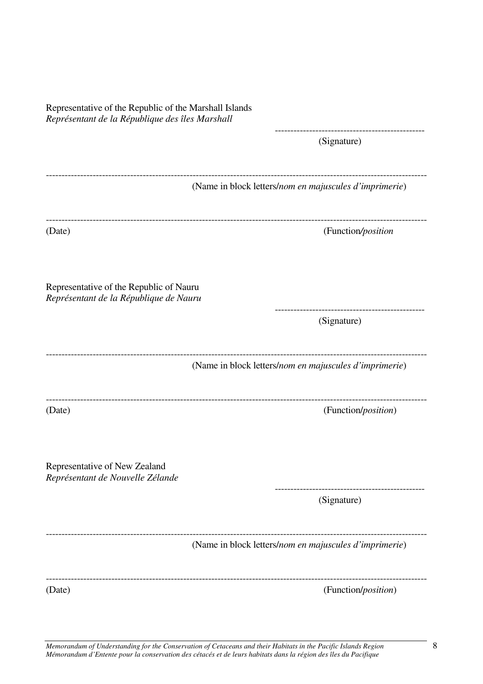| Representative of the Republic of the Marshall Islands<br>Représentant de la République des îles Marshall |                                                        |
|-----------------------------------------------------------------------------------------------------------|--------------------------------------------------------|
|                                                                                                           | (Signature)                                            |
|                                                                                                           | (Name in block letters/nom en majuscules d'imprimerie) |
| (Date)                                                                                                    | (Function/position                                     |
| Representative of the Republic of Nauru<br>Représentant de la République de Nauru                         |                                                        |
|                                                                                                           | (Signature)                                            |
|                                                                                                           | (Name in block letters/nom en majuscules d'imprimerie) |
| (Date)                                                                                                    | (Function/position)                                    |
| Representative of New Zealand<br>Représentant de Nouvelle Zélande                                         |                                                        |
|                                                                                                           | (Signature)                                            |
|                                                                                                           | (Name in block letters/nom en majuscules d'imprimerie) |
| (Date)                                                                                                    | (Function/position)                                    |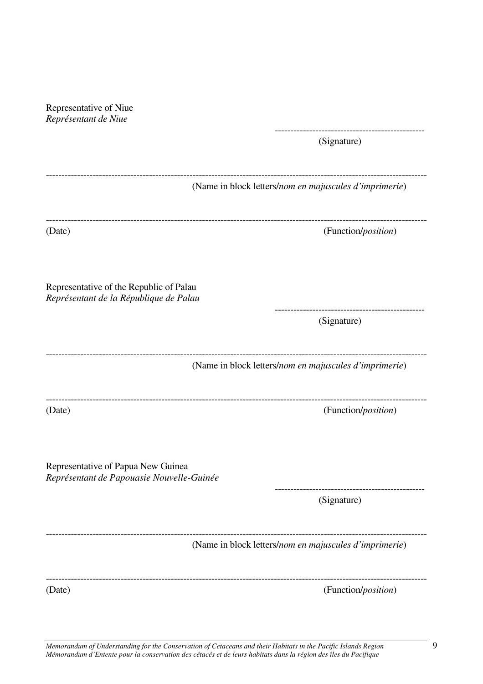*Représentant de Niue* ------------------------------------------------ (Signature) -------------------------------------------------------------------------------------------------------------------------- (Name in block letters/*nom en majuscules d'imprimerie*) -------------------------------------------------------------------------------------------------------------------------- (Date) (Function/*position*) Representative of the Republic of Palau *Représentant de la République de Palau* ------------------------------------------------ (Signature) -------------------------------------------------------------------------------------------------------------------------- (Name in block letters/*nom en majuscules d'imprimerie*) -------------------------------------------------------------------------------------------------------------------------- (Date) (Function/*position*) Representative of Papua New Guinea *Représentant de Papouasie Nouvelle-Guinée* ------------------------------------------------ (Signature) -------------------------------------------------------------------------------------------------------------------------- (Name in block letters/*nom en majuscules d'imprimerie*) -------------------------------------------------------------------------------------------------------------------------- (Date) (Function/*position*)

Representative of Niue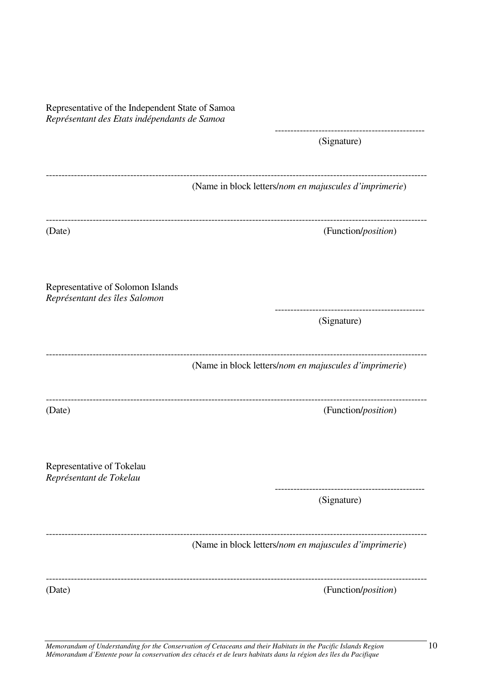| Representative of the Independent State of Samoa<br>Représentant des Etats indépendants de Samoa |                                                        |
|--------------------------------------------------------------------------------------------------|--------------------------------------------------------|
|                                                                                                  | (Signature)                                            |
|                                                                                                  | (Name in block letters/nom en majuscules d'imprimerie) |
| --------------------------------------<br>(Date)                                                 | (Function/position)                                    |
| Representative of Solomon Islands<br>Représentant des îles Salomon                               |                                                        |
|                                                                                                  | (Signature)                                            |
|                                                                                                  | (Name in block letters/nom en majuscules d'imprimerie) |
| (Date)                                                                                           | (Function/position)                                    |
| Representative of Tokelau<br>Représentant de Tokelau                                             |                                                        |
|                                                                                                  | (Signature)                                            |
|                                                                                                  | (Name in block letters/nom en majuscules d'imprimerie) |
| (Date)                                                                                           | (Function/position)                                    |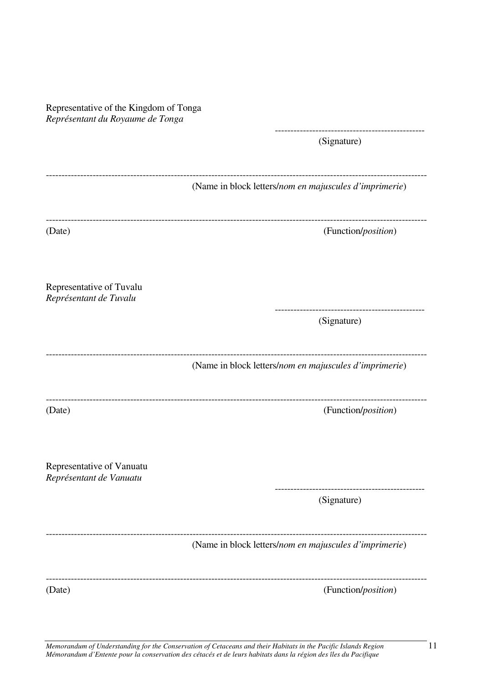Representative of the Kingdom of Tonga *Représentant du Royaume de Tonga*

> ------------------------------------------------ (Signature)

|                                                      | (Name in block letters/nom en majuscules d'imprimerie) |
|------------------------------------------------------|--------------------------------------------------------|
| (Date)                                               | (Function/position)                                    |
| Representative of Tuvalu<br>Représentant de Tuvalu   |                                                        |
|                                                      | (Signature)                                            |
|                                                      | (Name in block letters/nom en majuscules d'imprimerie) |
| (Date)                                               | (Function/position)                                    |
| Representative of Vanuatu<br>Représentant de Vanuatu |                                                        |
|                                                      | (Signature)                                            |
|                                                      | (Name in block letters/nom en majuscules d'imprimerie) |
| (Date)                                               | (Function/position)                                    |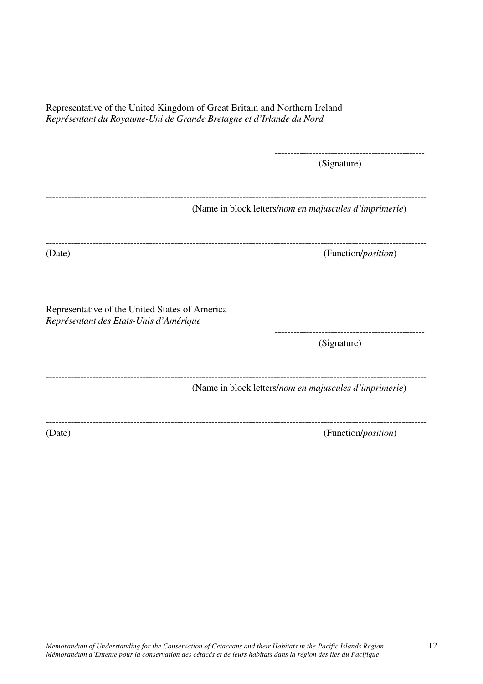| Representative of the United Kingdom of Great Britain and Northern Ireland |
|----------------------------------------------------------------------------|
| Représentant du Royaume-Uni de Grande Bretagne et d'Irlande du Nord        |

------------------------------------------------ (Signature)

--------------------------------------------------------------------------------------------------------------------------

(Name in block letters/*nom en majuscules d'imprimerie*)

-------------------------------------------------------------------------------------------------------------------------- (Date) (Function/*position*)

Representative of the United States of America

*Représentant des Etats-Unis d'Amérique* 

------------------------------------------------ (Signature)

-------------------------------------------------------------------------------------------------------------------------- (Name in block letters/*nom en majuscules d'imprimerie*)

--------------------------------------------------------------------------------------------------------------------------

(Date) (Function/*position*)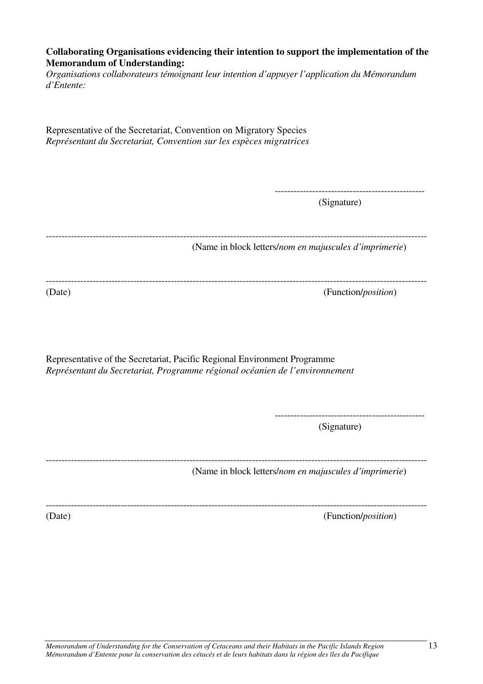#### **Collaborating Organisations evidencing their intention to support the implementation of the Memorandum of Understanding:**

*Organisations collaborateurs témoignant leur intention d'appuyer l'application du Mémorandum d'Entente:* 

Representative of the Secretariat, Convention on Migratory Species *Représentant du Secretariat, Convention sur les espèces migratrices*

> ------------------------------------------------ (Signature)

--------------------------------------------------------------------------------------------------------------------------

(Name in block letters/*nom en majuscules d'imprimerie*)

--------------------------------------------------------------------------------------------------------------------------

(Date) (Function/*position*)

Representative of the Secretariat, Pacific Regional Environment Programme *Représentant du Secretariat, Programme régional océanien de l'environnement* 

> ------------------------------------------------ (Signature)

-------------------------------------------------------------------------------------------------------------------------- (Name in block letters/*nom en majuscules d'imprimerie*)

-------------------------------------------------------------------------------------------------------------------------- (Date) (Function/*position*)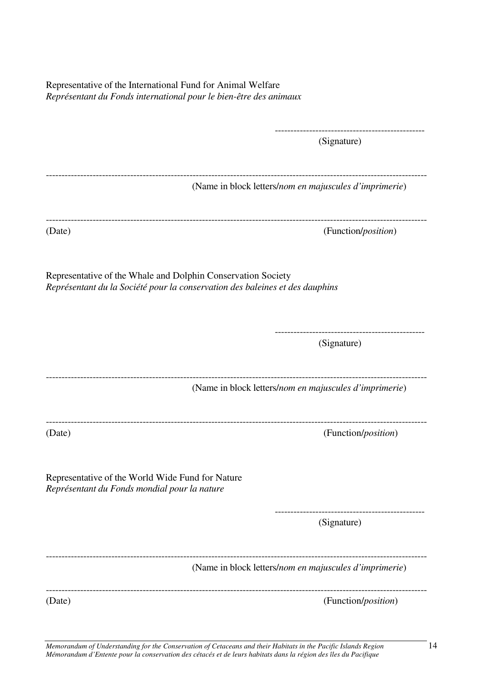Representative of the International Fund for Animal Welfare *Représentant du Fonds international pour le bien-être des animaux* 

|                                                                                                  | -----------------<br>(Signature)                                             |
|--------------------------------------------------------------------------------------------------|------------------------------------------------------------------------------|
|                                                                                                  | (Name in block letters/nom en majuscules d'imprimerie)                       |
| (Date)                                                                                           | (Function/ <i>position</i> )                                                 |
| Representative of the Whale and Dolphin Conservation Society                                     | Représentant du la Société pour la conservation des baleines et des dauphins |
|                                                                                                  | (Signature)                                                                  |
|                                                                                                  | (Name in block letters/nom en majuscules d'imprimerie)                       |
| (Date)                                                                                           | (Function/position)                                                          |
| Representative of the World Wide Fund for Nature<br>Représentant du Fonds mondial pour la nature |                                                                              |
|                                                                                                  | (Signature)                                                                  |
|                                                                                                  | (Name in block letters/nom en majuscules d'imprimerie)                       |
| (Date)                                                                                           | (Function/position)                                                          |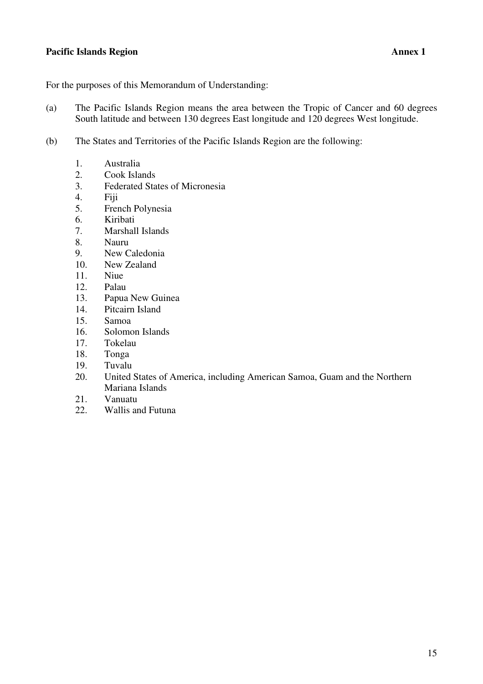#### **Pacific Islands Region** Annex 1

For the purposes of this Memorandum of Understanding:

- (a) The Pacific Islands Region means the area between the Tropic of Cancer and 60 degrees South latitude and between 130 degrees East longitude and 120 degrees West longitude.
- (b) The States and Territories of the Pacific Islands Region are the following:
	- 1. Australia
	- 2. Cook Islands
	- 3. Federated States of Micronesia
	- 4. Fiji
	- 5. French Polynesia
	- 6. Kiribati
	- 7. Marshall Islands
	- 8. Nauru
	- 9. New Caledonia
	- 10. New Zealand
	- 11. Niue
	- 12. Palau
	- 13. Papua New Guinea
	- 14. Pitcairn Island
	- 15. Samoa
	- 16. Solomon Islands
	- 17. Tokelau
	- 18. Tonga
	- 19. Tuvalu
	- 20. United States of America, including American Samoa, Guam and the Northern Mariana Islands
	- 21. Vanuatu
	- 22. Wallis and Futuna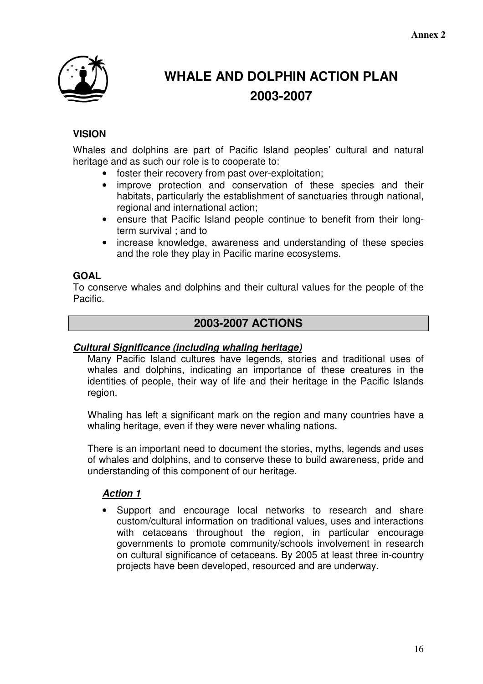

# **WHALE AND DOLPHIN ACTION PLAN 2003-2007**

## **VISION**

Whales and dolphins are part of Pacific Island peoples' cultural and natural heritage and as such our role is to cooperate to:

- foster their recovery from past over-exploitation;
- improve protection and conservation of these species and their habitats, particularly the establishment of sanctuaries through national, regional and international action;
- ensure that Pacific Island people continue to benefit from their longterm survival ; and to
- increase knowledge, awareness and understanding of these species and the role they play in Pacific marine ecosystems.

## **GOAL**

To conserve whales and dolphins and their cultural values for the people of the Pacific.

## **2003-2007 ACTIONS**

#### **Cultural Significance (including whaling heritage)**

Many Pacific Island cultures have legends, stories and traditional uses of whales and dolphins, indicating an importance of these creatures in the identities of people, their way of life and their heritage in the Pacific Islands region.

Whaling has left a significant mark on the region and many countries have a whaling heritage, even if they were never whaling nations.

There is an important need to document the stories, myths, legends and uses of whales and dolphins, and to conserve these to build awareness, pride and understanding of this component of our heritage.

#### **Action 1**

• Support and encourage local networks to research and share custom/cultural information on traditional values, uses and interactions with cetaceans throughout the region, in particular encourage governments to promote community/schools involvement in research on cultural significance of cetaceans. By 2005 at least three in-country projects have been developed, resourced and are underway.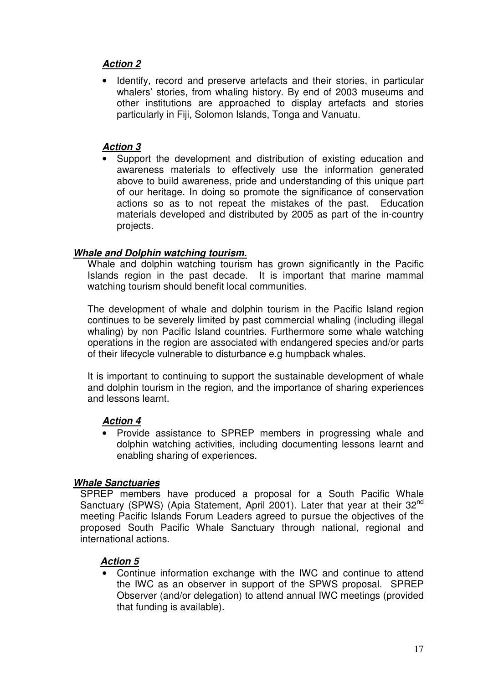## **Action 2**

Identify, record and preserve artefacts and their stories, in particular whalers' stories, from whaling history. By end of 2003 museums and other institutions are approached to display artefacts and stories particularly in Fiji, Solomon Islands, Tonga and Vanuatu.

#### **Action 3**

• Support the development and distribution of existing education and awareness materials to effectively use the information generated above to build awareness, pride and understanding of this unique part of our heritage. In doing so promote the significance of conservation actions so as to not repeat the mistakes of the past. Education materials developed and distributed by 2005 as part of the in-country projects.

#### **Whale and Dolphin watching tourism.**

Whale and dolphin watching tourism has grown significantly in the Pacific Islands region in the past decade. It is important that marine mammal watching tourism should benefit local communities.

The development of whale and dolphin tourism in the Pacific Island region continues to be severely limited by past commercial whaling (including illegal whaling) by non Pacific Island countries. Furthermore some whale watching operations in the region are associated with endangered species and/or parts of their lifecycle vulnerable to disturbance e.g humpback whales.

It is important to continuing to support the sustainable development of whale and dolphin tourism in the region, and the importance of sharing experiences and lessons learnt.

#### **Action 4**

• Provide assistance to SPREP members in progressing whale and dolphin watching activities, including documenting lessons learnt and enabling sharing of experiences.

#### **Whale Sanctuaries**

SPREP members have produced a proposal for a South Pacific Whale Sanctuary (SPWS) (Apia Statement, April 2001). Later that year at their 32<sup>nd</sup> meeting Pacific Islands Forum Leaders agreed to pursue the objectives of the proposed South Pacific Whale Sanctuary through national, regional and international actions.

## **Action 5**

• Continue information exchange with the IWC and continue to attend the IWC as an observer in support of the SPWS proposal. SPREP Observer (and/or delegation) to attend annual IWC meetings (provided that funding is available).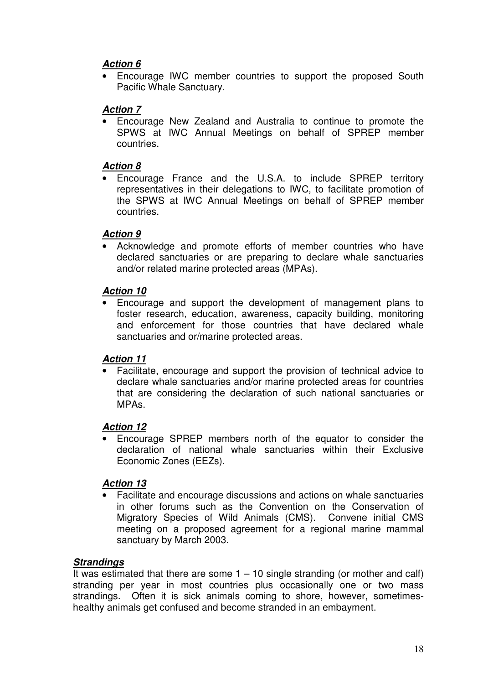## **Action 6**

• Encourage IWC member countries to support the proposed South Pacific Whale Sanctuary.

## **Action 7**

• Encourage New Zealand and Australia to continue to promote the SPWS at IWC Annual Meetings on behalf of SPREP member countries.

#### **Action 8**

• Encourage France and the U.S.A. to include SPREP territory representatives in their delegations to IWC, to facilitate promotion of the SPWS at IWC Annual Meetings on behalf of SPREP member countries.

## **Action 9**

Acknowledge and promote efforts of member countries who have declared sanctuaries or are preparing to declare whale sanctuaries and/or related marine protected areas (MPAs).

## **Action 10**

• Encourage and support the development of management plans to foster research, education, awareness, capacity building, monitoring and enforcement for those countries that have declared whale sanctuaries and or/marine protected areas.

## **Action 11**

• Facilitate, encourage and support the provision of technical advice to declare whale sanctuaries and/or marine protected areas for countries that are considering the declaration of such national sanctuaries or MPAs.

## **Action 12**

• Encourage SPREP members north of the equator to consider the declaration of national whale sanctuaries within their Exclusive Economic Zones (EEZs).

## **Action 13**

• Facilitate and encourage discussions and actions on whale sanctuaries in other forums such as the Convention on the Conservation of Migratory Species of Wild Animals (CMS). Convene initial CMS meeting on a proposed agreement for a regional marine mammal sanctuary by March 2003.

## **Strandings**

It was estimated that there are some  $1 - 10$  single stranding (or mother and calf) stranding per year in most countries plus occasionally one or two mass strandings. Often it is sick animals coming to shore, however, sometimeshealthy animals get confused and become stranded in an embayment.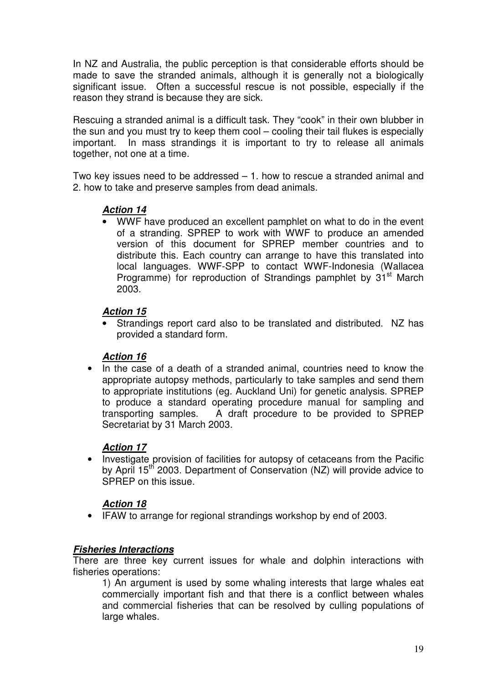In NZ and Australia, the public perception is that considerable efforts should be made to save the stranded animals, although it is generally not a biologically significant issue. Often a successful rescue is not possible, especially if the reason they strand is because they are sick.

Rescuing a stranded animal is a difficult task. They "cook" in their own blubber in the sun and you must try to keep them cool – cooling their tail flukes is especially important. In mass strandings it is important to try to release all animals together, not one at a time.

Two key issues need to be addressed – 1. how to rescue a stranded animal and 2. how to take and preserve samples from dead animals.

#### **Action 14**

• WWF have produced an excellent pamphlet on what to do in the event of a stranding. SPREP to work with WWF to produce an amended version of this document for SPREP member countries and to distribute this. Each country can arrange to have this translated into local languages. WWF-SPP to contact WWF-Indonesia (Wallacea Programme) for reproduction of Strandings pamphlet by 31<sup>st</sup> March 2003.

#### **Action 15**

• Strandings report card also to be translated and distributed. NZ has provided a standard form.

#### **Action 16**

• In the case of a death of a stranded animal, countries need to know the appropriate autopsy methods, particularly to take samples and send them to appropriate institutions (eg. Auckland Uni) for genetic analysis. SPREP to produce a standard operating procedure manual for sampling and transporting samples. A draft procedure to be provided to SPREP Secretariat by 31 March 2003.

#### **Action 17**

• Investigate provision of facilities for autopsy of cetaceans from the Pacific by April 15<sup>th</sup> 2003. Department of Conservation (NZ) will provide advice to SPREP on this issue.

#### **Action 18**

• IFAW to arrange for regional strandings workshop by end of 2003.

#### **Fisheries Interactions**

There are three key current issues for whale and dolphin interactions with fisheries operations:

1) An argument is used by some whaling interests that large whales eat commercially important fish and that there is a conflict between whales and commercial fisheries that can be resolved by culling populations of large whales.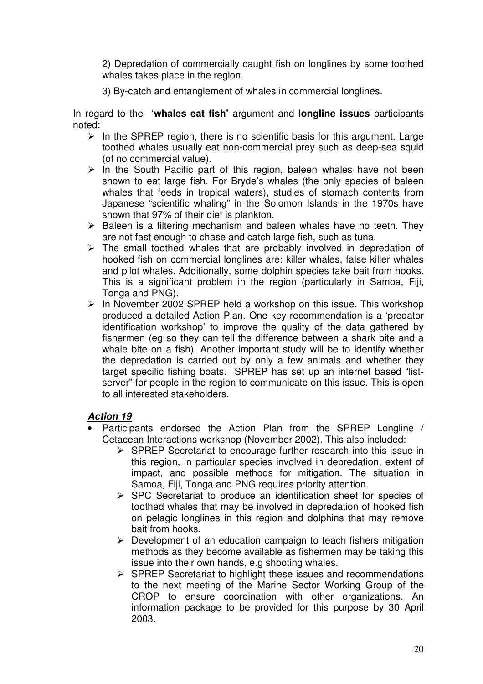2) Depredation of commercially caught fish on longlines by some toothed whales takes place in the region.

3) By-catch and entanglement of whales in commercial longlines.

In regard to the **'whales eat fish'** argument and **longline issues** participants noted:

- $\triangleright$  In the SPREP region, there is no scientific basis for this argument. Large toothed whales usually eat non-commercial prey such as deep-sea squid (of no commercial value).
- $\triangleright$  In the South Pacific part of this region, baleen whales have not been shown to eat large fish. For Bryde's whales (the only species of baleen whales that feeds in tropical waters), studies of stomach contents from Japanese "scientific whaling" in the Solomon Islands in the 1970s have shown that 97% of their diet is plankton.
- $\triangleright$  Baleen is a filtering mechanism and baleen whales have no teeth. They are not fast enough to chase and catch large fish, such as tuna.
- $\triangleright$  The small toothed whales that are probably involved in depredation of hooked fish on commercial longlines are: killer whales, false killer whales and pilot whales. Additionally, some dolphin species take bait from hooks. This is a significant problem in the region (particularly in Samoa, Fiji, Tonga and PNG).
- $\triangleright$  In November 2002 SPREP held a workshop on this issue. This workshop produced a detailed Action Plan. One key recommendation is a 'predator identification workshop' to improve the quality of the data gathered by fishermen (eg so they can tell the difference between a shark bite and a whale bite on a fish). Another important study will be to identify whether the depredation is carried out by only a few animals and whether they target specific fishing boats. SPREP has set up an internet based "listserver" for people in the region to communicate on this issue. This is open to all interested stakeholders.

#### **Action 19**

- Participants endorsed the Action Plan from the SPREP Longline / Cetacean Interactions workshop (November 2002). This also included:
	- $\triangleright$  SPREP Secretariat to encourage further research into this issue in this region, in particular species involved in depredation, extent of impact, and possible methods for mitigation. The situation in Samoa, Fiji, Tonga and PNG requires priority attention.
	- $\triangleright$  SPC Secretariat to produce an identification sheet for species of toothed whales that may be involved in depredation of hooked fish on pelagic longlines in this region and dolphins that may remove bait from hooks.
	- $\triangleright$  Development of an education campaign to teach fishers mitigation methods as they become available as fishermen may be taking this issue into their own hands, e.g shooting whales.
	- $\triangleright$  SPREP Secretariat to highlight these issues and recommendations to the next meeting of the Marine Sector Working Group of the CROP to ensure coordination with other organizations. An information package to be provided for this purpose by 30 April 2003.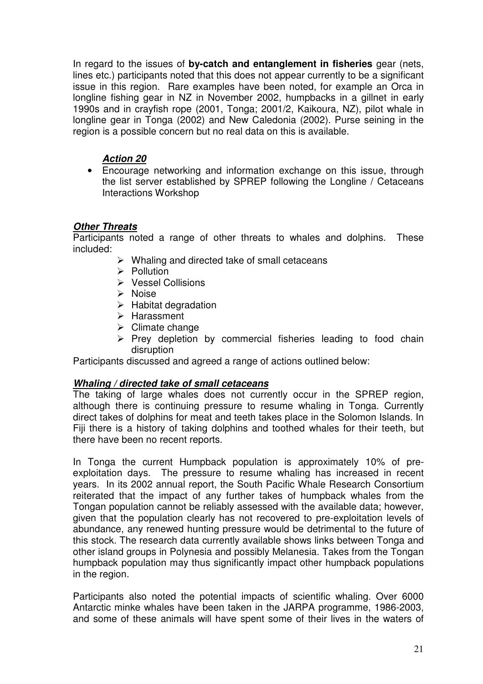In regard to the issues of **by-catch and entanglement in fisheries** gear (nets, lines etc.) participants noted that this does not appear currently to be a significant issue in this region. Rare examples have been noted, for example an Orca in longline fishing gear in NZ in November 2002, humpbacks in a gillnet in early 1990s and in crayfish rope (2001, Tonga; 2001/2, Kaikoura, NZ), pilot whale in longline gear in Tonga (2002) and New Caledonia (2002). Purse seining in the region is a possible concern but no real data on this is available.

## **Action 20**

• Encourage networking and information exchange on this issue, through the list server established by SPREP following the Longline / Cetaceans Interactions Workshop

## **Other Threats**

Participants noted a range of other threats to whales and dolphins. These included:

- $\triangleright$  Whaling and directed take of small cetaceans
- $\triangleright$  Pollution
- **▶ Vessel Collisions**
- $\triangleright$  Noise
- $\blacktriangleright$  Habitat degradation
- $\triangleright$  Harassment
- $\triangleright$  Climate change
- $\triangleright$  Prey depletion by commercial fisheries leading to food chain disruption

Participants discussed and agreed a range of actions outlined below:

#### **Whaling / directed take of small cetaceans**

The taking of large whales does not currently occur in the SPREP region, although there is continuing pressure to resume whaling in Tonga. Currently direct takes of dolphins for meat and teeth takes place in the Solomon Islands. In Fiji there is a history of taking dolphins and toothed whales for their teeth, but there have been no recent reports.

In Tonga the current Humpback population is approximately 10% of preexploitation days. The pressure to resume whaling has increased in recent years. In its 2002 annual report, the South Pacific Whale Research Consortium reiterated that the impact of any further takes of humpback whales from the Tongan population cannot be reliably assessed with the available data; however, given that the population clearly has not recovered to pre-exploitation levels of abundance, any renewed hunting pressure would be detrimental to the future of this stock. The research data currently available shows links between Tonga and other island groups in Polynesia and possibly Melanesia. Takes from the Tongan humpback population may thus significantly impact other humpback populations in the region.

Participants also noted the potential impacts of scientific whaling. Over 6000 Antarctic minke whales have been taken in the JARPA programme, 1986-2003, and some of these animals will have spent some of their lives in the waters of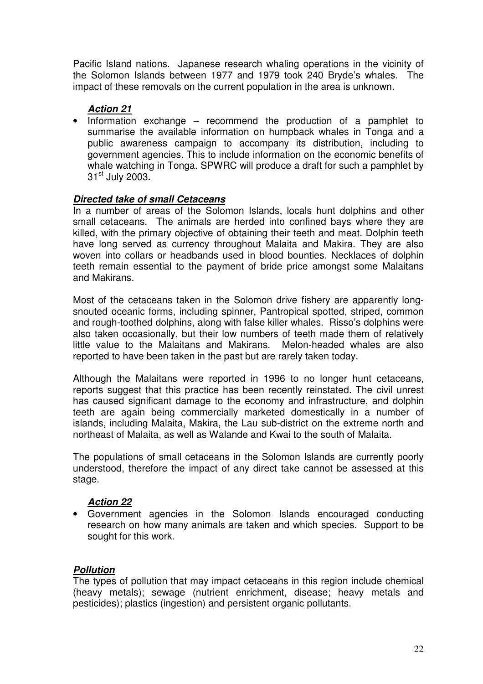Pacific Island nations. Japanese research whaling operations in the vicinity of the Solomon Islands between 1977 and 1979 took 240 Bryde's whales. The impact of these removals on the current population in the area is unknown.

## **Action 21**

• Information exchange – recommend the production of a pamphlet to summarise the available information on humpback whales in Tonga and a public awareness campaign to accompany its distribution, including to government agencies. This to include information on the economic benefits of whale watching in Tonga. SPWRC will produce a draft for such a pamphlet by 31st July 2003**.** 

#### **Directed take of small Cetaceans**

In a number of areas of the Solomon Islands, locals hunt dolphins and other small cetaceans. The animals are herded into confined bays where they are killed, with the primary objective of obtaining their teeth and meat. Dolphin teeth have long served as currency throughout Malaita and Makira. They are also woven into collars or headbands used in blood bounties. Necklaces of dolphin teeth remain essential to the payment of bride price amongst some Malaitans and Makirans.

Most of the cetaceans taken in the Solomon drive fishery are apparently longsnouted oceanic forms, including spinner, Pantropical spotted, striped, common and rough-toothed dolphins, along with false killer whales. Risso's dolphins were also taken occasionally, but their low numbers of teeth made them of relatively little value to the Malaitans and Makirans. Melon-headed whales are also reported to have been taken in the past but are rarely taken today.

Although the Malaitans were reported in 1996 to no longer hunt cetaceans, reports suggest that this practice has been recently reinstated. The civil unrest has caused significant damage to the economy and infrastructure, and dolphin teeth are again being commercially marketed domestically in a number of islands, including Malaita, Makira, the Lau sub-district on the extreme north and northeast of Malaita, as well as Walande and Kwai to the south of Malaita.

The populations of small cetaceans in the Solomon Islands are currently poorly understood, therefore the impact of any direct take cannot be assessed at this stage.

#### **Action 22**

• Government agencies in the Solomon Islands encouraged conducting research on how many animals are taken and which species. Support to be sought for this work.

#### **Pollution**

The types of pollution that may impact cetaceans in this region include chemical (heavy metals); sewage (nutrient enrichment, disease; heavy metals and pesticides); plastics (ingestion) and persistent organic pollutants.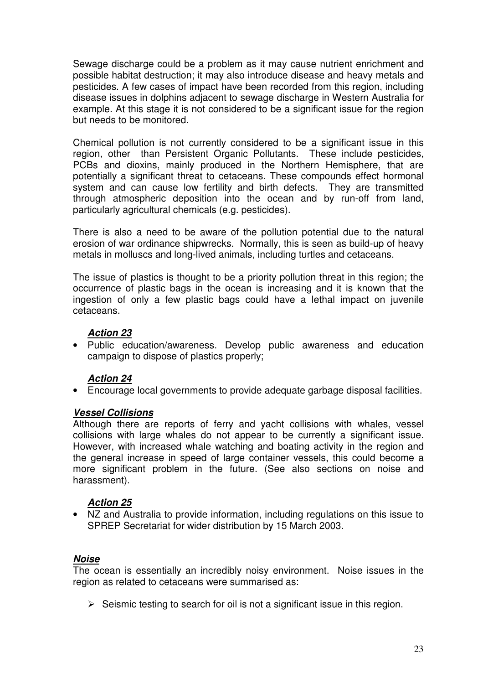Sewage discharge could be a problem as it may cause nutrient enrichment and possible habitat destruction; it may also introduce disease and heavy metals and pesticides. A few cases of impact have been recorded from this region, including disease issues in dolphins adjacent to sewage discharge in Western Australia for example. At this stage it is not considered to be a significant issue for the region but needs to be monitored.

Chemical pollution is not currently considered to be a significant issue in this region, other than Persistent Organic Pollutants. These include pesticides, PCBs and dioxins, mainly produced in the Northern Hemisphere, that are potentially a significant threat to cetaceans. These compounds effect hormonal system and can cause low fertility and birth defects. They are transmitted through atmospheric deposition into the ocean and by run-off from land, particularly agricultural chemicals (e.g. pesticides).

There is also a need to be aware of the pollution potential due to the natural erosion of war ordinance shipwrecks. Normally, this is seen as build-up of heavy metals in molluscs and long-lived animals, including turtles and cetaceans.

The issue of plastics is thought to be a priority pollution threat in this region; the occurrence of plastic bags in the ocean is increasing and it is known that the ingestion of only a few plastic bags could have a lethal impact on juvenile cetaceans.

#### **Action 23**

• Public education/awareness. Develop public awareness and education campaign to dispose of plastics properly;

## **Action 24**

• Encourage local governments to provide adequate garbage disposal facilities.

#### **Vessel Collisions**

Although there are reports of ferry and yacht collisions with whales, vessel collisions with large whales do not appear to be currently a significant issue. However, with increased whale watching and boating activity in the region and the general increase in speed of large container vessels, this could become a more significant problem in the future. (See also sections on noise and harassment).

#### **Action 25**

• NZ and Australia to provide information, including regulations on this issue to SPREP Secretariat for wider distribution by 15 March 2003.

#### **Noise**

The ocean is essentially an incredibly noisy environment. Noise issues in the region as related to cetaceans were summarised as:

 $\triangleright$  Seismic testing to search for oil is not a significant issue in this region.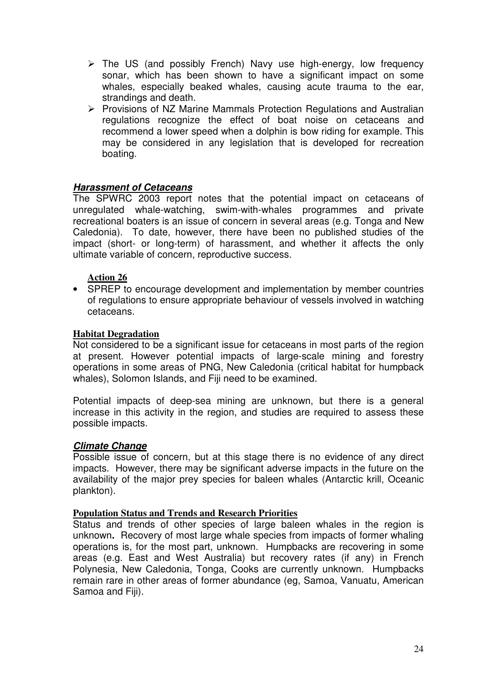- $\triangleright$  The US (and possibly French) Navy use high-energy, low frequency sonar, which has been shown to have a significant impact on some whales, especially beaked whales, causing acute trauma to the ear, strandings and death.
- $\triangleright$  Provisions of NZ Marine Mammals Protection Regulations and Australian regulations recognize the effect of boat noise on cetaceans and recommend a lower speed when a dolphin is bow riding for example. This may be considered in any legislation that is developed for recreation boating.

#### **Harassment of Cetaceans**

The SPWRC 2003 report notes that the potential impact on cetaceans of unregulated whale-watching, swim-with-whales programmes and private recreational boaters is an issue of concern in several areas (e.g. Tonga and New Caledonia). To date, however, there have been no published studies of the impact (short- or long-term) of harassment, and whether it affects the only ultimate variable of concern, reproductive success.

#### **Action 26**

• SPREP to encourage development and implementation by member countries of regulations to ensure appropriate behaviour of vessels involved in watching cetaceans.

#### **Habitat Degradation**

Not considered to be a significant issue for cetaceans in most parts of the region at present. However potential impacts of large-scale mining and forestry operations in some areas of PNG, New Caledonia (critical habitat for humpback whales), Solomon Islands, and Fiji need to be examined.

Potential impacts of deep-sea mining are unknown, but there is a general increase in this activity in the region, and studies are required to assess these possible impacts.

#### **Climate Change**

Possible issue of concern, but at this stage there is no evidence of any direct impacts. However, there may be significant adverse impacts in the future on the availability of the major prey species for baleen whales (Antarctic krill, Oceanic plankton).

#### **Population Status and Trends and Research Priorities**

Status and trends of other species of large baleen whales in the region is unknown**.** Recovery of most large whale species from impacts of former whaling operations is, for the most part, unknown. Humpbacks are recovering in some areas (e.g. East and West Australia) but recovery rates (if any) in French Polynesia, New Caledonia, Tonga, Cooks are currently unknown. Humpbacks remain rare in other areas of former abundance (eg, Samoa, Vanuatu, American Samoa and Fiji).